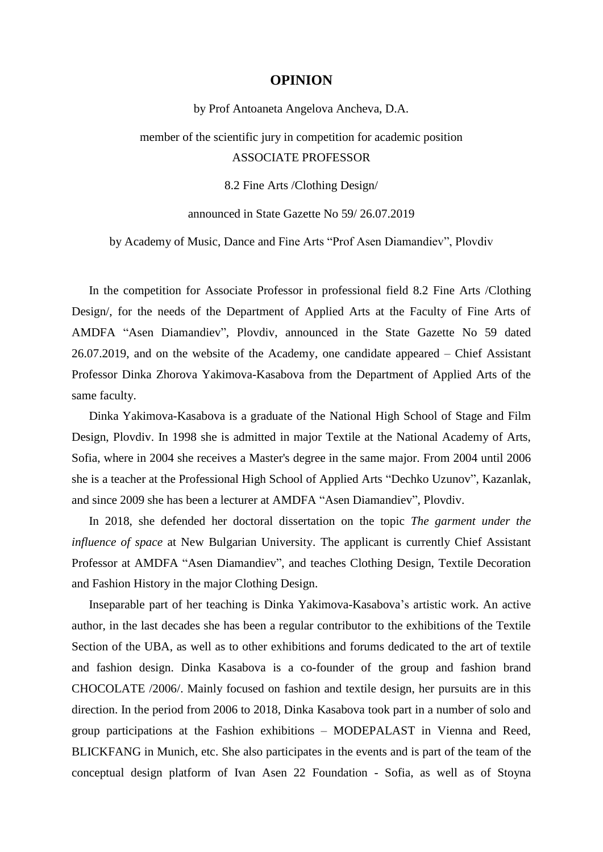## **OPINION**

by Prof Antoaneta Angelova Ancheva, D.A.

member of the scientific jury in competition for academic position ASSOCIATE PROFESSOR

8.2 Fine Arts /Clothing Design/

announced in State Gazette No 59/ 26.07.2019

by Academy of Music, Dance and Fine Arts "Prof Asen Diamandiev", Plovdiv

In the competition for Associate Professor in professional field 8.2 Fine Arts /Clothing Design/, for the needs of the Department of Applied Arts at the Faculty of Fine Arts of AMDFA "Asen Diamandiev", Plovdiv, announced in the State Gazette No 59 dated 26.07.2019, and on the website of the Academy, one candidate appeared – Chief Assistant Professor Dinka Zhorova Yakimova-Kasabova from the Department of Applied Arts of the same faculty.

Dinka Yakimova-Kasabova is a graduate of the National High School of Stage and Film Design, Plovdiv. In 1998 she is admitted in major Textile at the National Academy of Arts, Sofia, where in 2004 she receives a Master's degree in the same major. From 2004 until 2006 she is a teacher at the Professional High School of Applied Arts "Dechko Uzunov", Kazanlak, and since 2009 she has been a lecturer at AMDFA "Asen Diamandiev", Plovdiv.

In 2018, she defended her doctoral dissertation on the topic *The garment under the influence of space* at New Bulgarian University. The applicant is currently Chief Assistant Professor at AMDFA "Asen Diamandiev", and teaches Clothing Design, Textile Decoration and Fashion History in the major Clothing Design.

Inseparable part of her teaching is Dinka Yakimova-Kasabova"s artistic work. An active author, in the last decades she has been a regular contributor to the exhibitions of the Textile Section of the UBA, as well as to other exhibitions and forums dedicated to the art of textile and fashion design. Dinka Kasabova is a co-founder of the group and fashion brand CHOCOLATE /2006/. Mainly focused on fashion and textile design, her pursuits are in this direction. In the period from 2006 to 2018, Dinka Kasabova took part in a number of solo and group participations at the Fashion exhibitions – MODEPALAST in Vienna and Reed, BLICKFANG in Munich, etc. She also participates in the events and is part of the team of the conceptual design platform of Ivan Asen 22 Foundation - Sofia, as well as of Stoyna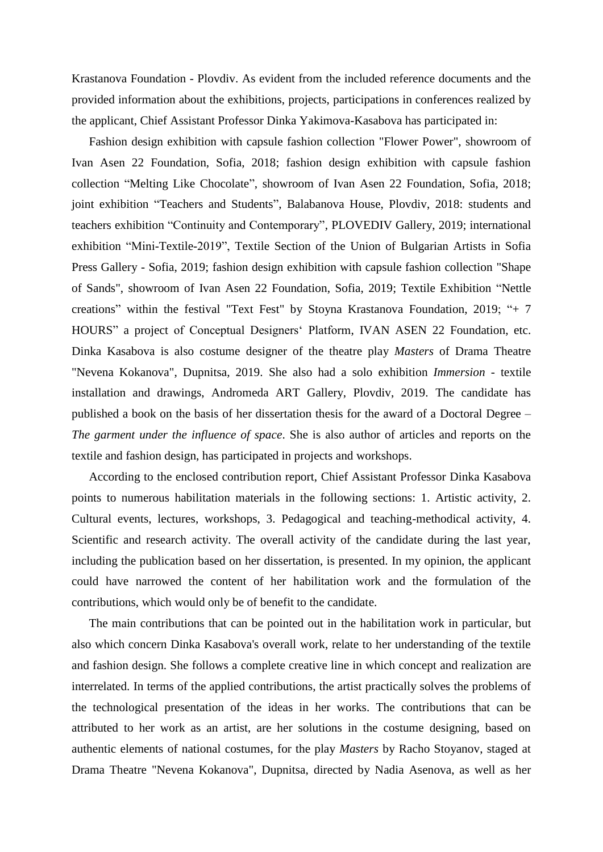Krastanova Foundation - Plovdiv. As evident from the included reference documents and the provided information about the exhibitions, projects, participations in conferences realized by the applicant, Chief Assistant Professor Dinka Yakimova-Kasabova has participated in:

Fashion design exhibition with capsule fashion collection "Flower Power", showroom of Ivan Asen 22 Foundation, Sofia, 2018; fashion design exhibition with capsule fashion collection "Melting Like Chocolate", showroom of Ivan Asen 22 Foundation, Sofia, 2018; joint exhibition "Teachers and Students", Balabanova House, Plovdiv, 2018: students and teachers exhibition "Continuity and Contemporary", PLOVEDIV Gallery, 2019; international exhibition "Mini-Textile-2019", Textile Section of the Union of Bulgarian Artists in Sofia Press Gallery - Sofia, 2019; fashion design exhibition with capsule fashion collection "Shape of Sands", showroom of Ivan Asen 22 Foundation, Sofia, 2019; Textile Exhibition "Nettle creations" within the festival "Text Fest" by Stoyna Krastanova Foundation, 2019; "+ 7 HOURS" a project of Conceptual Designers" Platform, IVAN ASEN 22 Foundation, etc. Dinka Kasabova is also costume designer of the theatre play *Masters* of Drama Theatre "Nevena Kokanova", Dupnitsa, 2019. She also had a solo exhibition *Immersion* - textile installation and drawings, Andromeda ART Gallery, Plovdiv, 2019. The candidate has published a book on the basis of her dissertation thesis for the award of a Doctoral Degree – *The garment under the influence of space*. She is also author of articles and reports on the textile and fashion design, has participated in projects and workshops.

According to the enclosed contribution report, Chief Assistant Professor Dinka Kasabova points to numerous habilitation materials in the following sections: 1. Artistic activity, 2. Cultural events, lectures, workshops, 3. Pedagogical and teaching-methodical activity, 4. Scientific and research activity. The overall activity of the candidate during the last year, including the publication based on her dissertation, is presented. In my opinion, the applicant could have narrowed the content of her habilitation work and the formulation of the contributions, which would only be of benefit to the candidate.

The main contributions that can be pointed out in the habilitation work in particular, but also which concern Dinka Kasabova's overall work, relate to her understanding of the textile and fashion design. She follows a complete creative line in which concept and realization are interrelated. In terms of the applied contributions, the artist practically solves the problems of the technological presentation of the ideas in her works. The contributions that can be attributed to her work as an artist, are her solutions in the costume designing, based on authentic elements of national costumes, for the play *Masters* by Racho Stoyanov, staged at Drama Theatre "Nevena Kokanova", Dupnitsa, directed by Nadia Asenova, as well as her